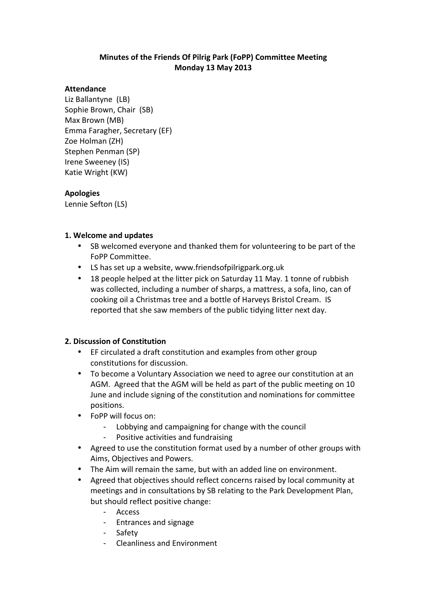# **Minutes of the Friends Of Pilrig Park (FoPP) Committee Meeting Monday 13 May 2013**

#### **Attendance**

Liz Ballantyne (LB) Sophie Brown, Chair (SB) Max Brown (MB) Emma Faragher, Secretary (EF) Zoe Holman (ZH) Stephen Penman (SP) Irene Sweeney (IS) Katie Wright (KW)

#### **Apologies**

Lennie Sefton (LS)

#### **1. Welcome and updates**

- SB welcomed everyone and thanked them for volunteering to be part of the FoPP Committee.
- LS has set up a website, www.friendsofpilrigpark.org.uk
- 18 people helped at the litter pick on Saturday 11 May. 1 tonne of rubbish was collected, including a number of sharps, a mattress, a sofa, lino, can of cooking oil a Christmas tree and a bottle of Harveys Bristol Cream. IS reported that she saw members of the public tidying litter next day.

# **2. Discussion of Constitution**

- EF circulated a draft constitution and examples from other group constitutions for discussion.
- To become a Voluntary Association we need to agree our constitution at an AGM. Agreed that the AGM will be held as part of the public meeting on 10 June and include signing of the constitution and nominations for committee positions.
- FoPP will focus on:
	- Lobbying and campaigning for change with the council
	- Positive activities and fundraising
- Agreed to use the constitution format used by a number of other groups with Aims, Objectives and Powers.
- The Aim will remain the same, but with an added line on environment.
- Agreed that objectives should reflect concerns raised by local community at meetings and in consultations by SB relating to the Park Development Plan, but should reflect positive change:
	- Access
	- Entrances and signage
	- Safety
	- Cleanliness and Environment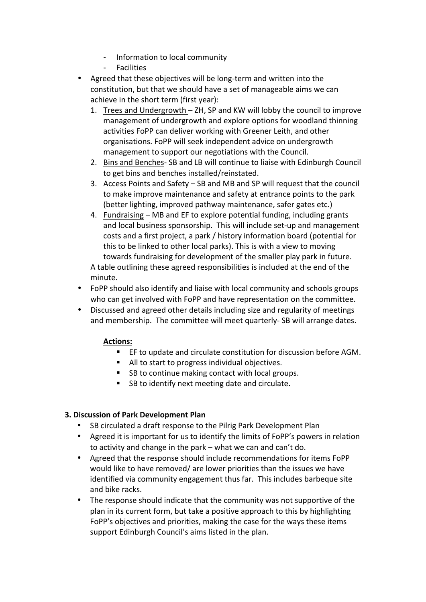- Information to local community
- **Facilities**
- Agreed that these objectives will be long-term and written into the constitution, but that we should have a set of manageable aims we can achieve in the short term (first year):
	- 1. Trees and Undergrowth ZH, SP and KW will lobby the council to improve management of undergrowth and explore options for woodland thinning activities FoPP can deliver working with Greener Leith, and other organisations. FoPP will seek independent advice on undergrowth management to support our negotiations with the Council.
	- 2. Bins and Benches- SB and LB will continue to liaise with Edinburgh Council to get bins and benches installed/reinstated.
	- 3. Access Points and Safety SB and MB and SP will request that the council to make improve maintenance and safety at entrance points to the park (better lighting, improved pathway maintenance, safer gates etc.)
	- 4. Fundraising MB and EF to explore potential funding, including grants and local business sponsorship. This will include set-up and management costs and a first project, a park / history information board (potential for this to be linked to other local parks). This is with a view to moving towards fundraising for development of the smaller play park in future.

A table outlining these agreed responsibilities is included at the end of the minute.

- FoPP should also identify and liaise with local community and schools groups who can get involved with FoPP and have representation on the committee.
- Discussed and agreed other details including size and regularity of meetings and membership. The committee will meet quarterly- SB will arrange dates.

# **Actions:**

- EF to update and circulate constitution for discussion before AGM.
- All to start to progress individual objectives.
- SB to continue making contact with local groups.
- SB to identify next meeting date and circulate.

# **3. Discussion of Park Development Plan**

- SB circulated a draft response to the Pilrig Park Development Plan
- Agreed it is important for us to identify the limits of FoPP's powers in relation to activity and change in the park – what we can and can't do.
- Agreed that the response should include recommendations for items FoPP would like to have removed/ are lower priorities than the issues we have identified via community engagement thus far. This includes barbeque site and bike racks.
- The response should indicate that the community was not supportive of the plan in its current form, but take a positive approach to this by highlighting FoPP's objectives and priorities, making the case for the ways these items support Edinburgh Council's aims listed in the plan.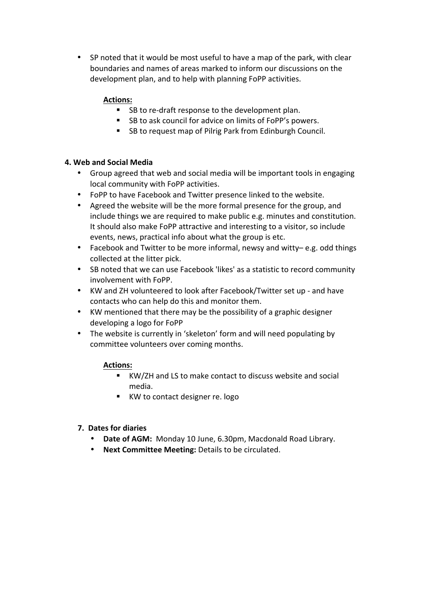• SP noted that it would be most useful to have a map of the park, with clear boundaries and names of areas marked to inform our discussions on the development plan, and to help with planning FoPP activities.

#### **Actions:**

- SB to re-draft response to the development plan.
- SB to ask council for advice on limits of FoPP's powers.
- SB to request map of Pilrig Park from Edinburgh Council.

#### **4. Web and Social Media**

- Group agreed that web and social media will be important tools in engaging local community with FoPP activities.
- FoPP to have Facebook and Twitter presence linked to the website.
- Agreed the website will be the more formal presence for the group, and include things we are required to make public e.g. minutes and constitution. It should also make FoPP attractive and interesting to a visitor, so include events, news, practical info about what the group is etc.
- Facebook and Twitter to be more informal, newsy and witty– e.g. odd things collected at the litter pick.
- SB noted that we can use Facebook 'likes' as a statistic to record community involvement with FoPP.
- KW and ZH volunteered to look after Facebook/Twitter set up and have contacts who can help do this and monitor them.
- KW mentioned that there may be the possibility of a graphic designer developing a logo for FoPP
- The website is currently in 'skeleton' form and will need populating by committee volunteers over coming months.

#### **Actions:**

- KW/ZH and LS to make contact to discuss website and social media.
- KW to contact designer re. logo

# **7. Dates for diaries**

- Date of AGM: Monday 10 June, 6.30pm, Macdonald Road Library.
- **Next Committee Meeting:** Details to be circulated.